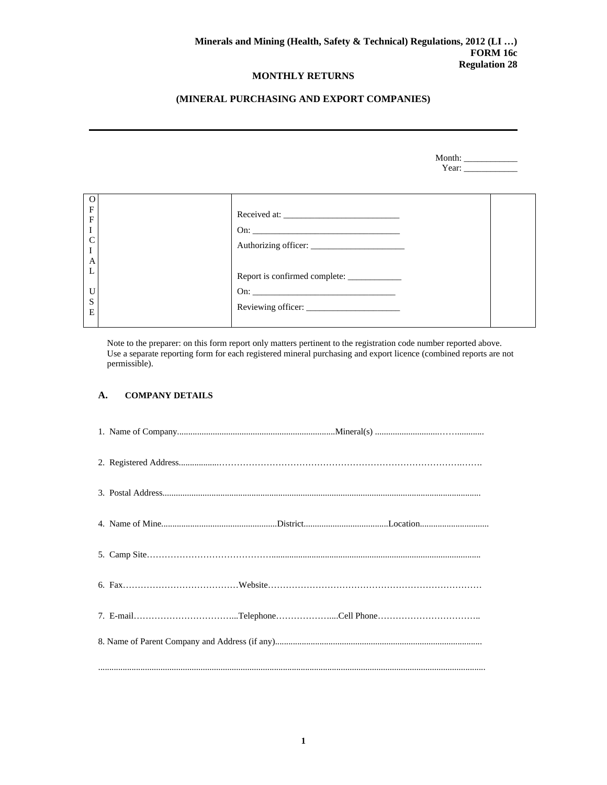# **(MINERAL PURCHASING AND EXPORT COMPANIES)**

| Month: |  |
|--------|--|
| Y ear' |  |

| $\mathbf F$    |                                             |  |
|----------------|---------------------------------------------|--|
|                |                                             |  |
| $\overline{F}$ |                                             |  |
| I              |                                             |  |
|                |                                             |  |
| $\mathsf{C}$   |                                             |  |
|                |                                             |  |
|                |                                             |  |
| A              |                                             |  |
| L              |                                             |  |
|                | Report is confirmed complete: _____________ |  |
|                |                                             |  |
| U              |                                             |  |
| S              |                                             |  |
|                |                                             |  |
| E              |                                             |  |
|                |                                             |  |
|                |                                             |  |

Note to the preparer: on this form report only matters pertinent to the registration code number reported above. Use a separate reporting form for each registered mineral purchasing and export licence (combined reports are not permissible).

#### **A. COMPANY DETAILS**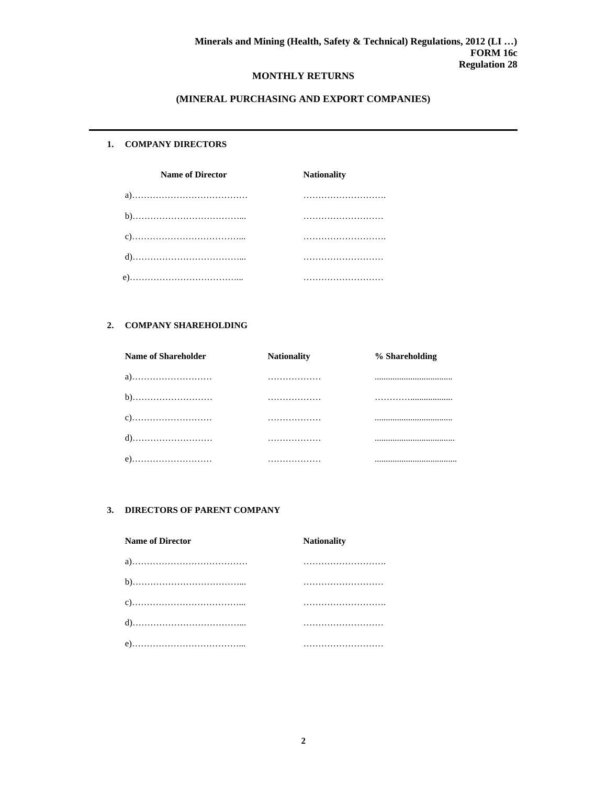# **(MINERAL PURCHASING AND EXPORT COMPANIES)**

#### **1. COMPANY DIRECTORS**

| <b>Name of Director</b> | <b>Nationality</b> |  |  |
|-------------------------|--------------------|--|--|
|                         |                    |  |  |
|                         |                    |  |  |
|                         |                    |  |  |
|                         |                    |  |  |
|                         |                    |  |  |

#### **2. COMPANY SHAREHOLDING**

| <b>Name of Shareholder</b> | <b>Nationality</b> | % Shareholding |
|----------------------------|--------------------|----------------|
|                            |                    |                |
|                            |                    |                |
|                            |                    |                |
|                            | .                  |                |
|                            |                    |                |

# **3. DIRECTORS OF PARENT COMPANY**

| <b>Name of Director</b> | <b>Nationality</b> |
|-------------------------|--------------------|
|                         |                    |
|                         |                    |
|                         |                    |
|                         |                    |
|                         |                    |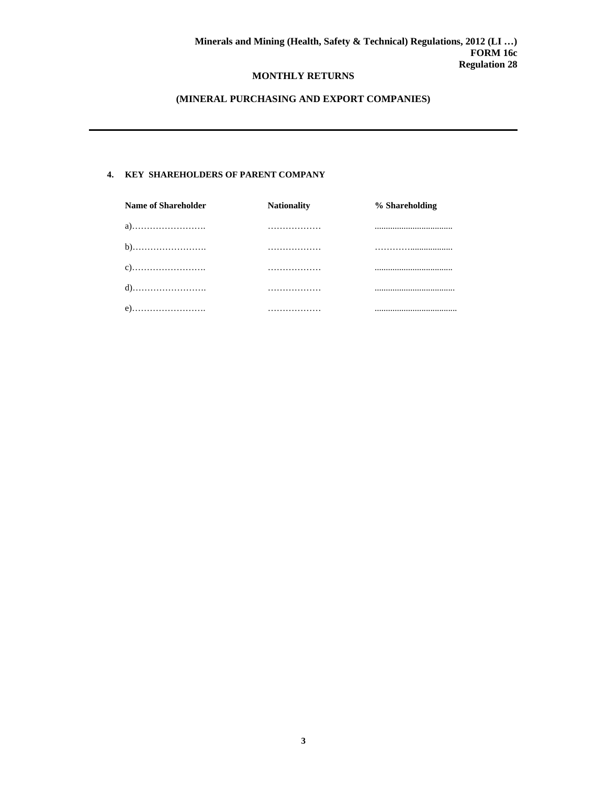# **(MINERAL PURCHASING AND EXPORT COMPANIES)**

### **4. KEY SHAREHOLDERS OF PARENT COMPANY**

| <b>Name of Shareholder</b> | <b>Nationality</b> | % Shareholding |
|----------------------------|--------------------|----------------|
| a)                         | .                  |                |
|                            | .                  |                |
|                            | .                  |                |
|                            | .                  |                |
|                            | .                  |                |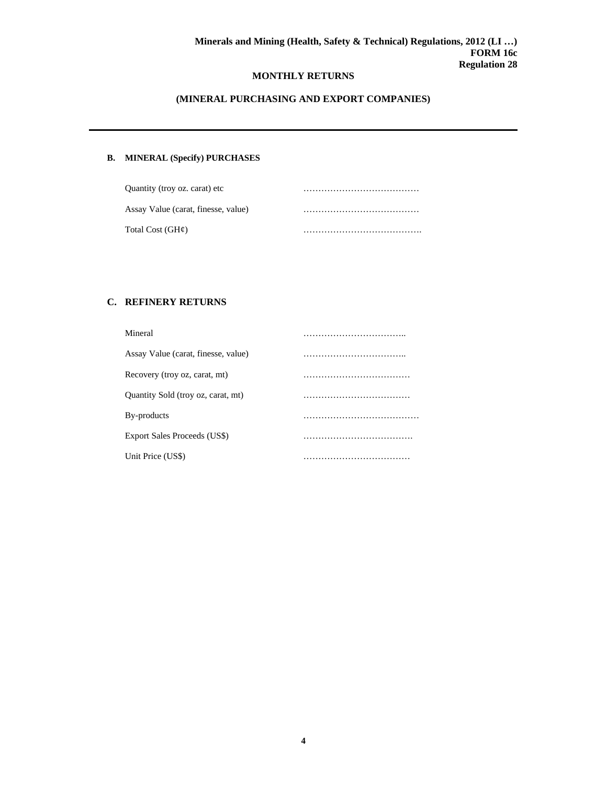# **(MINERAL PURCHASING AND EXPORT COMPANIES)**

# **B. MINERAL (Specify) PURCHASES**

| Quantity (troy oz. carat) etc       |  |
|-------------------------------------|--|
| Assay Value (carat, finesse, value) |  |
| Total Cost (GH¢)                    |  |

# **C. REFINERY RETURNS**

| Mineral                             |  |
|-------------------------------------|--|
| Assay Value (carat, finesse, value) |  |
| Recovery (troy oz, carat, mt)       |  |
| Quantity Sold (troy oz, carat, mt)  |  |
| By-products                         |  |
| Export Sales Proceeds (US\$)        |  |
| Unit Price (US\$)                   |  |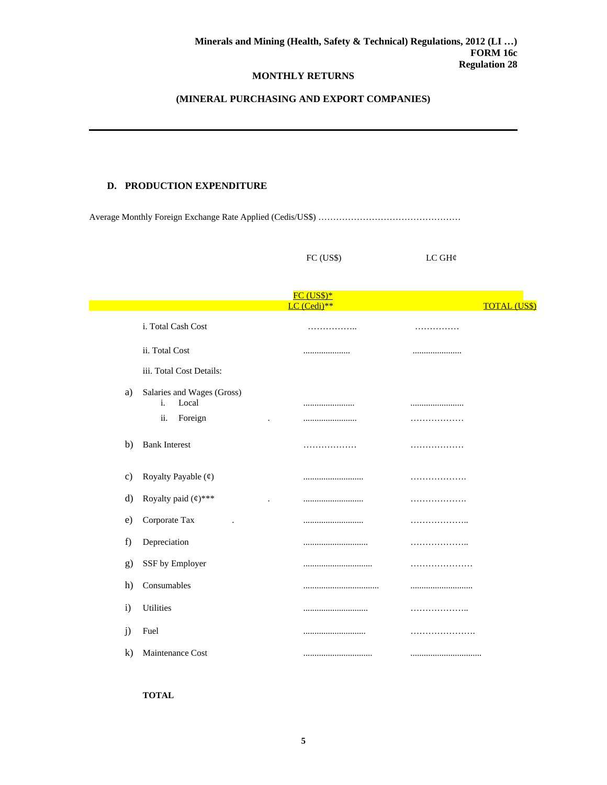# **(MINERAL PURCHASING AND EXPORT COMPANIES)**

### **D. PRODUCTION EXPENDITURE**

Average Monthly Foreign Exchange Rate Applied (Cedis/US\$) …………………………………………

FC (US\$) LC GH¢

| <b>FC (US\$)*</b> |                                           |             |   |                     |  |
|-------------------|-------------------------------------------|-------------|---|---------------------|--|
|                   |                                           | LC (Cedi)** |   | <b>TOTAL (US\$)</b> |  |
|                   | i. Total Cash Cost                        | .           | . |                     |  |
|                   | ii. Total Cost                            |             |   |                     |  |
|                   | iii. Total Cost Details:                  |             |   |                     |  |
| a)                | Salaries and Wages (Gross)<br>Local<br>i. |             |   |                     |  |
|                   | Foreign<br>ii.                            |             | . |                     |  |
| b)                | <b>Bank Interest</b>                      | .           | . |                     |  |
| C)                | Royalty Payable (¢)                       |             | . |                     |  |
| d)                | Royalty paid $($ math)***                 |             | . |                     |  |
| e)                | Corporate Tax                             |             | . |                     |  |
| f)                | Depreciation                              |             | . |                     |  |
| g)                | SSF by Employer                           |             |   |                     |  |
| h)                | Consumables                               |             |   |                     |  |
| i)                | <b>Utilities</b>                          |             | . |                     |  |
| j)                | Fuel                                      |             |   |                     |  |
| $\bf k)$          | Maintenance Cost                          |             |   |                     |  |

**TOTAL**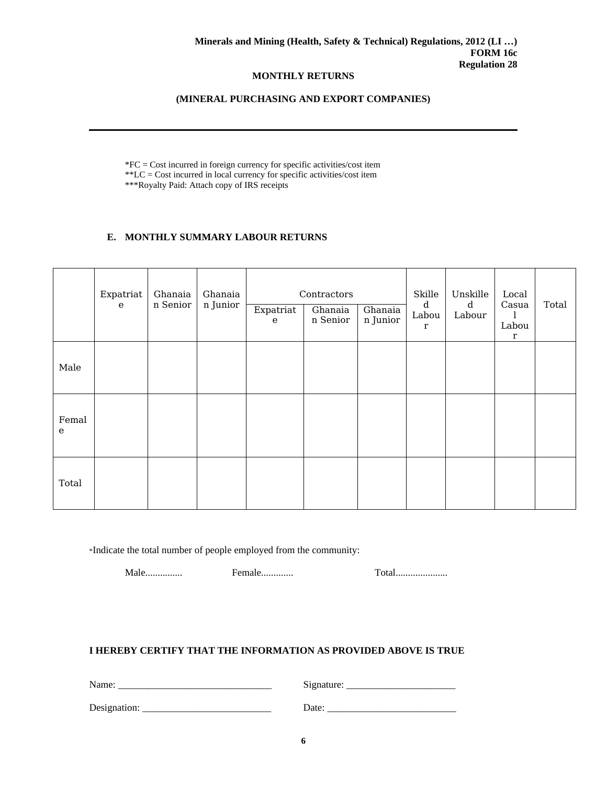### **(MINERAL PURCHASING AND EXPORT COMPANIES)**

\*FC = Cost incurred in foreign currency for specific activities/cost item \*\*LC = Cost incurred in local currency for specific activities/cost item \*\*\*Royalty Paid: Attach copy of IRS receipts

# **E. MONTHLY SUMMARY LABOUR RETURNS**

|                       | Expatriat<br>$\mathbf{e}$ | Ghanaia<br>n Senior | Ghanaia<br>n Junior | Expatriat<br>$\mathbf{e}$ | Contractors<br>Ghanaia<br>n Senior | Ghanaia<br>n Junior | Skille<br>d<br>Labou<br>$\mathbf r$ | Unskille<br>d<br>Labour | Local<br>Casua<br>Labou<br>$\mathbf r$ | Total |
|-----------------------|---------------------------|---------------------|---------------------|---------------------------|------------------------------------|---------------------|-------------------------------------|-------------------------|----------------------------------------|-------|
| Male                  |                           |                     |                     |                           |                                    |                     |                                     |                         |                                        |       |
| Femal<br>$\mathbf{e}$ |                           |                     |                     |                           |                                    |                     |                                     |                         |                                        |       |
| Total                 |                           |                     |                     |                           |                                    |                     |                                     |                         |                                        |       |

\*Indicate the total number of people employed from the community:

Male............... Female............. Total.....................

# **I HEREBY CERTIFY THAT THE INFORMATION AS PROVIDED ABOVE IS TRUE**

| Name:        | Signature: |
|--------------|------------|
| Designation: | Date:      |